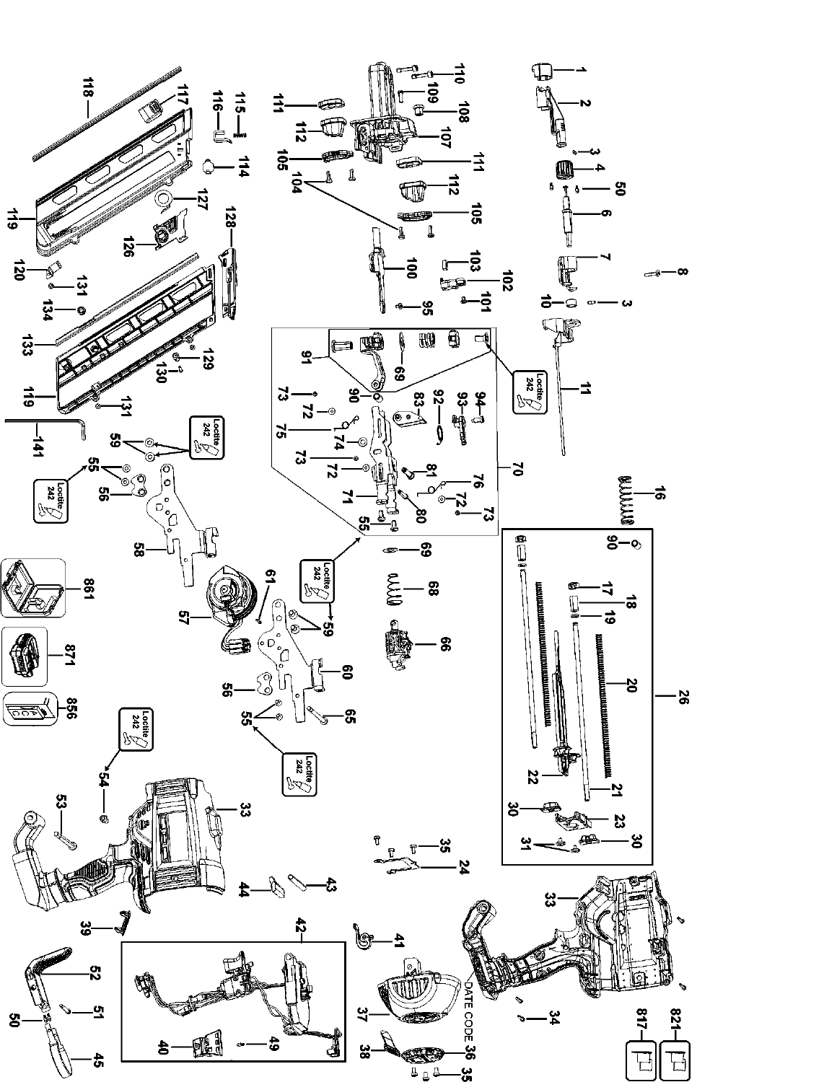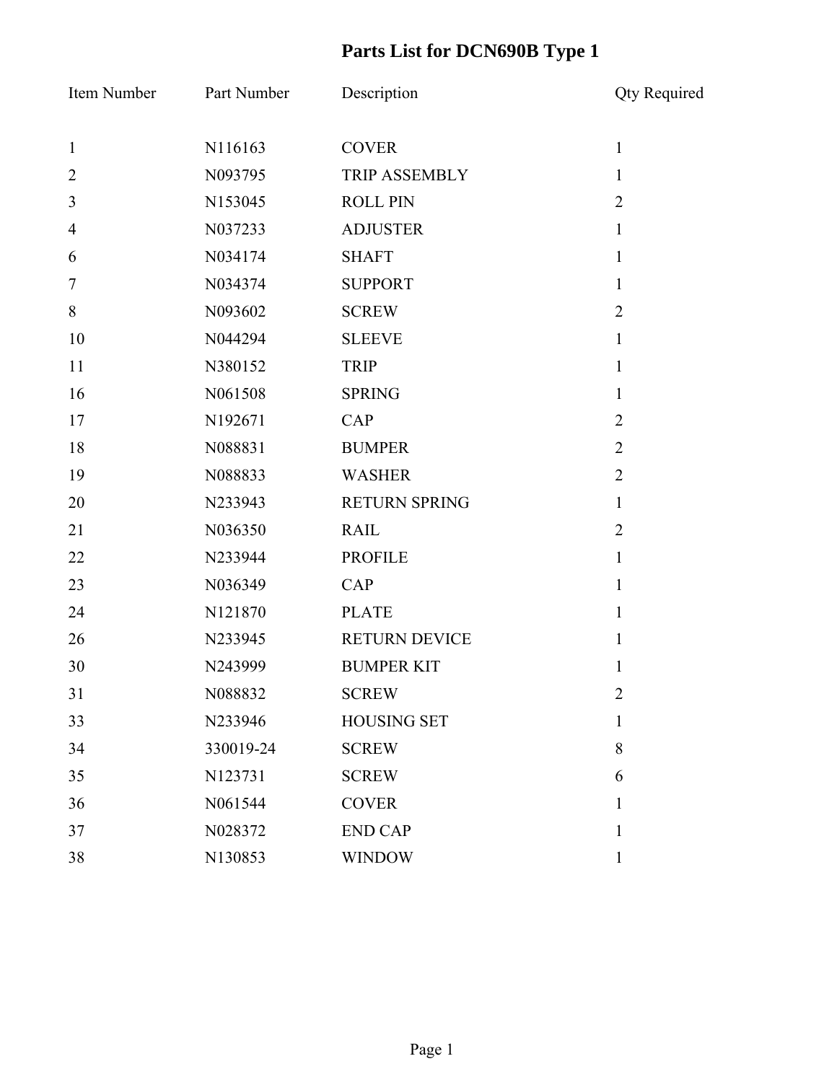| Item Number      | Part Number | Description          | <b>Qty Required</b> |
|------------------|-------------|----------------------|---------------------|
| $\mathbf{1}$     | N116163     | <b>COVER</b>         | $\mathbf{1}$        |
| $\overline{2}$   | N093795     | <b>TRIP ASSEMBLY</b> | $\mathbf{1}$        |
| $\overline{3}$   | N153045     | <b>ROLL PIN</b>      | $\overline{2}$      |
| $\overline{4}$   | N037233     | <b>ADJUSTER</b>      | $\mathbf{1}$        |
| 6                | N034174     | <b>SHAFT</b>         | $\mathbf{1}$        |
| $\boldsymbol{7}$ | N034374     | <b>SUPPORT</b>       | $\mathbf{1}$        |
| $8\,$            | N093602     | <b>SCREW</b>         | $\overline{2}$      |
| 10               | N044294     | <b>SLEEVE</b>        | $\mathbf{1}$        |
| 11               | N380152     | <b>TRIP</b>          | $\mathbf{1}$        |
| 16               | N061508     | <b>SPRING</b>        | $\mathbf{1}$        |
| 17               | N192671     | CAP                  | $\overline{2}$      |
| 18               | N088831     | <b>BUMPER</b>        | $\overline{2}$      |
| 19               | N088833     | <b>WASHER</b>        | $\overline{2}$      |
| 20               | N233943     | <b>RETURN SPRING</b> | $\mathbf{1}$        |
| 21               | N036350     | <b>RAIL</b>          | $\overline{2}$      |
| 22               | N233944     | <b>PROFILE</b>       | $\mathbf{1}$        |
| 23               | N036349     | CAP                  | $\mathbf{1}$        |
| 24               | N121870     | <b>PLATE</b>         | $\mathbf{1}$        |
| 26               | N233945     | <b>RETURN DEVICE</b> | $\mathbf{1}$        |
| 30               | N243999     | <b>BUMPER KIT</b>    | 1                   |
| 31               | N088832     | <b>SCREW</b>         | $\overline{2}$      |
| 33               | N233946     | <b>HOUSING SET</b>   | $\mathbf{1}$        |
| 34               | 330019-24   | <b>SCREW</b>         | 8                   |
| 35               | N123731     | <b>SCREW</b>         | 6                   |
| 36               | N061544     | <b>COVER</b>         | $\mathbf{1}$        |
| 37               | N028372     | <b>END CAP</b>       | 1                   |
| 38               | N130853     | <b>WINDOW</b>        | $\mathbf{1}$        |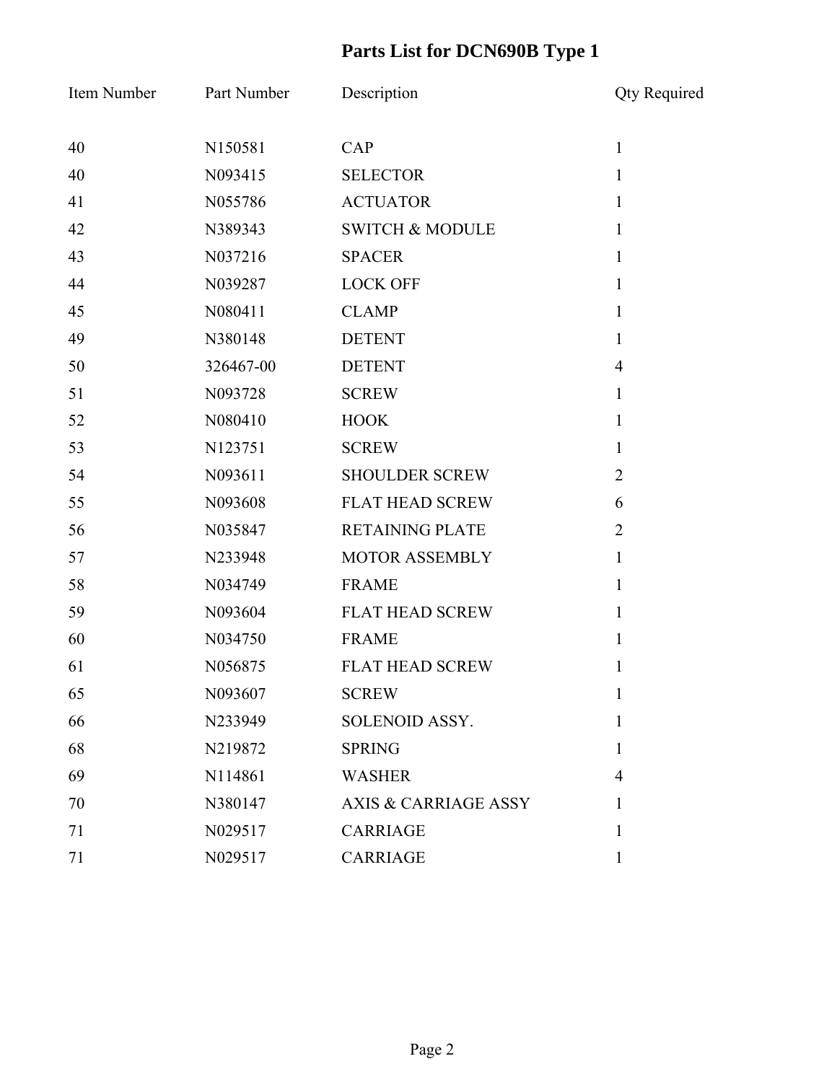| Item Number | Part Number | Description                     | <b>Qty Required</b> |
|-------------|-------------|---------------------------------|---------------------|
| 40          | N150581     | CAP                             | $\mathbf{1}$        |
| 40          | N093415     | <b>SELECTOR</b>                 | $\mathbf{1}$        |
| 41          | N055786     | <b>ACTUATOR</b>                 | $\mathbf{1}$        |
| 42          | N389343     | <b>SWITCH &amp; MODULE</b>      | $\mathbf{1}$        |
| 43          | N037216     | <b>SPACER</b>                   | $\mathbf{1}$        |
| 44          | N039287     | <b>LOCK OFF</b>                 | $\mathbf{1}$        |
| 45          | N080411     | <b>CLAMP</b>                    | 1                   |
| 49          | N380148     | <b>DETENT</b>                   | $\mathbf{1}$        |
| 50          | 326467-00   | <b>DETENT</b>                   | $\overline{4}$      |
| 51          | N093728     | <b>SCREW</b>                    | $\mathbf{1}$        |
| 52          | N080410     | <b>HOOK</b>                     | $\mathbf{1}$        |
| 53          | N123751     | <b>SCREW</b>                    | $\mathbf{1}$        |
| 54          | N093611     | <b>SHOULDER SCREW</b>           | $\overline{2}$      |
| 55          | N093608     | <b>FLAT HEAD SCREW</b>          | 6                   |
| 56          | N035847     | <b>RETAINING PLATE</b>          | $\overline{2}$      |
| 57          | N233948     | MOTOR ASSEMBLY                  | $\mathbf{1}$        |
| 58          | N034749     | <b>FRAME</b>                    | $\mathbf{1}$        |
| 59          | N093604     | <b>FLAT HEAD SCREW</b>          | $\mathbf{1}$        |
| 60          | N034750     | <b>FRAME</b>                    | 1                   |
| 61          | N056875     | <b>FLAT HEAD SCREW</b>          | 1                   |
| 65          | N093607     | <b>SCREW</b>                    | $\mathbf{I}$        |
| 66          | N233949     | SOLENOID ASSY.                  | 1                   |
| 68          | N219872     | <b>SPRING</b>                   | 1                   |
| 69          | N114861     | <b>WASHER</b>                   | $\overline{4}$      |
| 70          | N380147     | <b>AXIS &amp; CARRIAGE ASSY</b> | 1                   |
| 71          | N029517     | <b>CARRIAGE</b>                 | 1                   |
| 71          | N029517     | <b>CARRIAGE</b>                 | 1                   |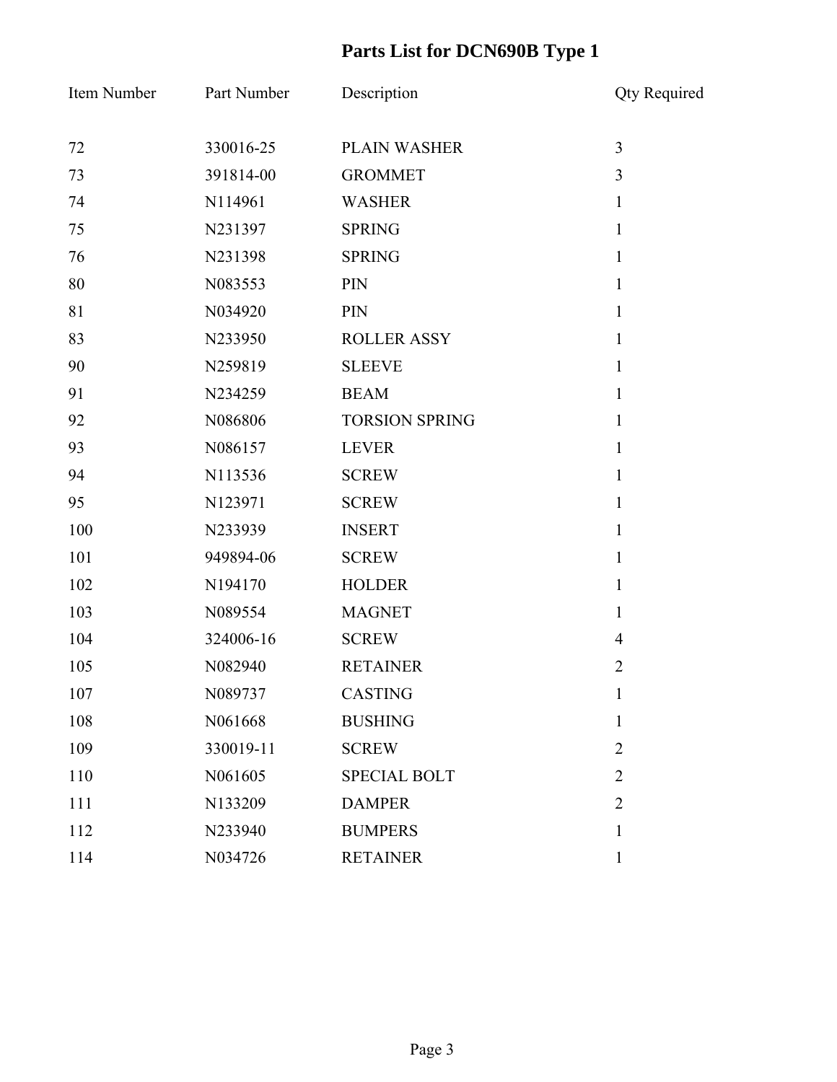| Item Number | Part Number | Description           | <b>Qty Required</b> |
|-------------|-------------|-----------------------|---------------------|
| 72          | 330016-25   | PLAIN WASHER          | $\overline{3}$      |
| 73          | 391814-00   | <b>GROMMET</b>        | 3                   |
| 74          | N114961     | <b>WASHER</b>         | $\mathbf{1}$        |
| 75          | N231397     | <b>SPRING</b>         | $\mathbf{1}$        |
| 76          | N231398     | <b>SPRING</b>         | $\mathbf{1}$        |
| 80          | N083553     | PIN                   | $\mathbf{1}$        |
| 81          | N034920     | PIN                   | $\mathbf{1}$        |
| 83          | N233950     | <b>ROLLER ASSY</b>    | $\mathbf{1}$        |
| 90          | N259819     | <b>SLEEVE</b>         | $\mathbf{1}$        |
| 91          | N234259     | <b>BEAM</b>           | $\mathbf{1}$        |
| 92          | N086806     | <b>TORSION SPRING</b> | $\mathbf{1}$        |
| 93          | N086157     | <b>LEVER</b>          | $\mathbf{1}$        |
| 94          | N113536     | <b>SCREW</b>          | $\mathbf{1}$        |
| 95          | N123971     | <b>SCREW</b>          | $\mathbf{1}$        |
| 100         | N233939     | <b>INSERT</b>         | $\mathbf{1}$        |
| 101         | 949894-06   | <b>SCREW</b>          | $\mathbf{1}$        |
| 102         | N194170     | <b>HOLDER</b>         | $\mathbf{1}$        |
| 103         | N089554     | <b>MAGNET</b>         | $\mathbf{1}$        |
| 104         | 324006-16   | <b>SCREW</b>          | $\overline{4}$      |
| 105         | N082940     | <b>RETAINER</b>       | $\overline{2}$      |
| 107         | N089737     | <b>CASTING</b>        | $\mathbf{I}$        |
| 108         | N061668     | <b>BUSHING</b>        | $\mathbf{1}$        |
| 109         | 330019-11   | <b>SCREW</b>          | $\overline{2}$      |
| 110         | N061605     | <b>SPECIAL BOLT</b>   | $\overline{2}$      |
| 111         | N133209     | <b>DAMPER</b>         | $\overline{2}$      |
| 112         | N233940     | <b>BUMPERS</b>        | 1                   |
| 114         | N034726     | <b>RETAINER</b>       | $\mathbf{1}$        |